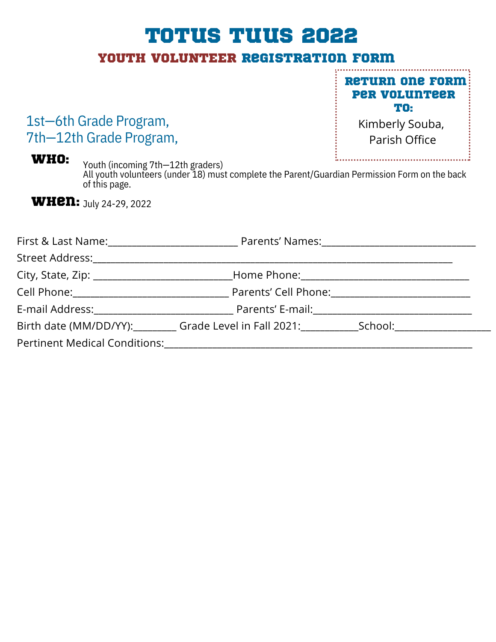# Totus Tuus 2022

## YOUTH VOLUNTEER registration form

### 1st—6th Grade Program, 7th—12th Grade Program,

**RETURN ONE FORM:** Per Volunteer To:

> Kimberly Souba, Parish Office

Who: Youth (incoming 7th—12th graders) All youth volunteers (under 18) must complete the Parent/Guardian Permission Form on the back of this page.

**WHEN:** July 24-29, 2022

| Birth date (MM/DD/YY): Grade Level in Fall 2021: School: School: |  |
|------------------------------------------------------------------|--|
|                                                                  |  |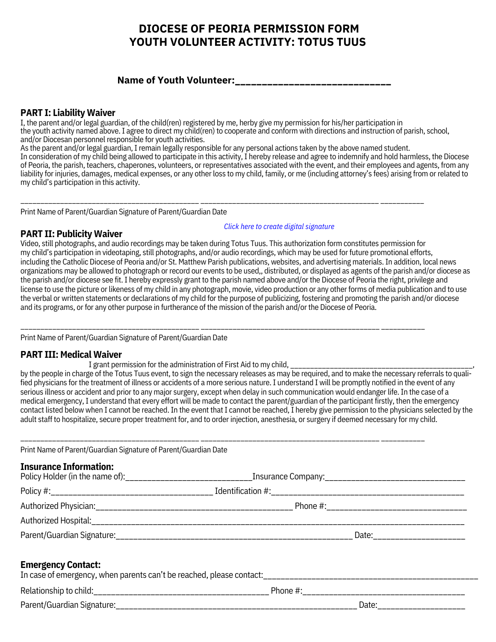### **DIOCESE OF PEORIA PERMISSION FORM YOUTH VOLUNTEER ACTIVITY: TOTUS TUUS**

**Name of Youth Volunteer:\_\_\_\_\_\_\_\_\_\_\_\_\_\_\_\_\_\_\_\_\_\_\_\_\_\_\_\_\_**

#### **PART I: Liability Waiver**

I, the parent and/or legal guardian, of the child(ren) registered by me, herby give my permission for his/her participation in the youth activity named above.I agree to direct my child(ren) to cooperate and conform with directions and instruction of parish, school, and/or Diocesan personnel responsible for youth activities.

As the parent and/or legal guardian, I remain legally responsible for any personal actions taken by the above named student.

\_\_\_\_\_\_\_\_\_\_\_\_\_\_\_\_\_\_\_\_\_\_\_\_\_\_\_\_\_\_\_\_\_\_\_\_\_\_\_\_\_\_\_\_\_ \_\_\_\_\_\_\_\_\_\_\_\_\_\_\_\_\_\_\_\_\_\_\_\_\_\_\_\_\_\_\_\_\_\_\_\_\_\_\_\_\_\_\_\_\_ \_\_\_\_\_\_\_\_\_\_\_

\_\_\_\_\_\_\_\_\_\_\_\_\_\_\_\_\_\_\_\_\_\_\_\_\_\_\_\_\_\_\_\_\_\_\_\_\_\_\_\_\_\_\_\_\_ \_\_\_\_\_\_\_\_\_\_\_\_\_\_\_\_\_\_\_\_\_\_\_\_\_\_\_\_\_\_\_\_\_\_\_\_\_\_\_\_\_\_\_\_\_ \_\_\_\_\_\_\_\_\_\_\_

\_\_\_\_\_\_\_\_\_\_\_\_\_\_\_\_\_\_\_\_\_\_\_\_\_\_\_\_\_\_\_\_\_\_\_\_\_\_\_\_\_\_\_\_\_ \_\_\_\_\_\_\_\_\_\_\_\_\_\_\_\_\_\_\_\_\_\_\_\_\_\_\_\_\_\_\_\_\_\_\_\_\_\_\_\_\_\_\_\_\_ \_\_\_\_\_\_\_\_\_\_\_

In consideration of my child being allowed to participate in this activity, I hereby release and agree to indemnify and hold harmless, the Diocese of Peoria, the parish, teachers, chaperones, volunteers, or representatives associated with the event, and their employees and agents, from any liability for injuries, damages, medical expenses, or any other loss to my child, family, or me (including attorney's fees) arising from or related to my child's participation in this activity.

Print Name of Parent/Guardian Signature of Parent/Guardian Date

#### **PART II: Publicity Waiver**

*Click here to create digital [signature](https://smallpdf.com/sign-pdf)*

Video, still photographs, and audio recordings may be taken during Totus Tuus. This authorization form constitutes permission for my child's participation in videotaping, still photographs, and/or audio recordings, which may be used for future promotional efforts, including the Catholic Diocese of Peoria and/or St. Matthew Parish publications, websites, and advertising materials. In addition, local news organizations may be allowed to photograph or record our events to be used,, distributed, or displayed as agents of the parish and/or diocese as the parish and/or diocese see fit. I hereby expressly grant to the parish named above and/or the Diocese of Peoria the right, privilege and license to use the picture or likeness of my child in any photograph, movie, video production or any other forms of media publication and to use the verbal or written statements or declarations of my child for the purpose of publicizing, fostering and promoting the parish and/or diocese and its programs, or for any other purpose in furtherance of the mission of the parish and/or the Diocese of Peoria.

Print Name of Parent/Guardian Signature of Parent/Guardian Date

#### **PART III: Medical Waiver**

I grant permission for the administration of First Aid to my child, \_\_\_\_\_\_\_\_\_\_\_\_\_\_\_\_\_\_\_\_\_\_\_\_\_\_\_\_\_\_\_\_\_\_\_\_\_\_\_\_\_\_\_\_\_\_,

by the people in charge of the Totus Tuus event, to sign the necessary releases as may be required, and to make the necessary referrals to qualified physicians for the treatment of illness or accidents of a more serious nature. I understand I will be promptly notified in the event of any serious illness or accident and prior to any major surgery, except when delay in such communication would endanger life. In the case of a medical emergency, I understand that every effort will be made to contact the parent/guardian of the participant firstly, then the emergency contact listed below when I cannot be reached. In the event that I cannot be reached, I hereby give permission to the physicians selected by the adult staff to hospitalize, secure proper treatment for, and to order injection, anesthesia, or surgery if deemed necessary for my child.

Print Name of Parent/Guardian Signature of Parent/Guardian Date

#### **Insurance Information:**

| Policy Holder (in the name of): |                   |  |
|---------------------------------|-------------------|--|
| Policy #:                       | Identification #: |  |
|                                 | Phone $\#$ :      |  |
| Authorized Hospital:            |                   |  |
| Parent/Guardian Signature:      | Date:             |  |
|                                 |                   |  |

#### **Emergency Contact:**

| <b>LIIIUI SUIIUI UUIILIUUI.</b><br>In case of emergency, when parents can't be reached, please contact: |              |      |  |  |
|---------------------------------------------------------------------------------------------------------|--------------|------|--|--|
| Relationship to child:                                                                                  | Phone $\#$ : |      |  |  |
| Parent/Guardian Signature:                                                                              |              | Date |  |  |